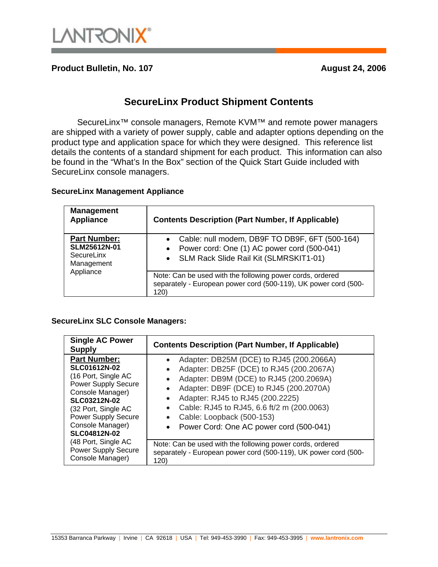

**Product Bulletin, No. 107** August 24, 2006

### **SecureLinx Product Shipment Contents**

SecureLinx<sup>™</sup> console managers, Remote KVM<sup>™</sup> and remote power managers are shipped with a variety of power supply, cable and adapter options depending on the product type and application space for which they were designed. This reference list details the contents of a standard shipment for each product. This information can also be found in the "What's In the Box" section of the Quick Start Guide included with SecureLinx console managers.

#### **SecureLinx Management Appliance**

| <b>Management</b><br><b>Appliance</b>                                        | <b>Contents Description (Part Number, If Applicable)</b>                                                                                  |
|------------------------------------------------------------------------------|-------------------------------------------------------------------------------------------------------------------------------------------|
| <b>Part Number:</b><br>SLM25612N-01<br>SecureLinx<br>Management<br>Appliance | Cable: null modem, DB9F TO DB9F, 6FT (500-164)<br>Power cord: One (1) AC power cord (500-041)<br>• SLM Rack Slide Rail Kit (SLMRSKIT1-01) |
|                                                                              | Note: Can be used with the following power cords, ordered<br>separately - European power cord (500-119), UK power cord (500-<br>120)      |

#### **SecureLinx SLC Console Managers:**

| <b>Single AC Power</b><br><b>Supply</b>                                                                                                                                                                                                    | <b>Contents Description (Part Number, If Applicable)</b>                                                                                                                                                                                                                                                                                            |
|--------------------------------------------------------------------------------------------------------------------------------------------------------------------------------------------------------------------------------------------|-----------------------------------------------------------------------------------------------------------------------------------------------------------------------------------------------------------------------------------------------------------------------------------------------------------------------------------------------------|
| <b>Part Number:</b><br><b>SLC01612N-02</b><br>(16 Port, Single AC<br><b>Power Supply Secure</b><br>Console Manager)<br><b>SLC03212N-02</b><br>(32 Port, Single AC<br><b>Power Supply Secure</b><br>Console Manager)<br><b>SLC04812N-02</b> | Adapter: DB25M (DCE) to RJ45 (200.2066A)<br>Adapter: DB25F (DCE) to RJ45 (200.2067A)<br>Adapter: DB9M (DCE) to RJ45 (200.2069A)<br>Adapter: DB9F (DCE) to RJ45 (200.2070A)<br>Adapter: RJ45 to RJ45 (200.2225)<br>$\bullet$<br>Cable: RJ45 to RJ45, 6.6 ft/2 m (200.0063)<br>Cable: Loopback (500-153)<br>• Power Cord: One AC power cord (500-041) |
| (48 Port, Single AC<br><b>Power Supply Secure</b><br>Console Manager)                                                                                                                                                                      | Note: Can be used with the following power cords, ordered<br>separately - European power cord (500-119), UK power cord (500-<br>120)                                                                                                                                                                                                                |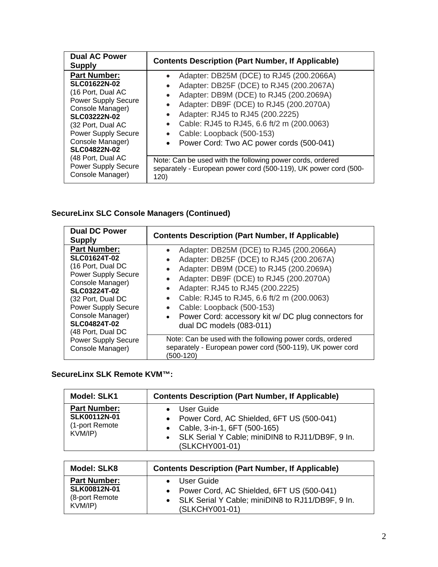| <b>Dual AC Power</b><br><b>Supply</b>                                                                                                                                                                                                  | <b>Contents Description (Part Number, If Applicable)</b>                                                                                                                                                                                                                                                                              |
|----------------------------------------------------------------------------------------------------------------------------------------------------------------------------------------------------------------------------------------|---------------------------------------------------------------------------------------------------------------------------------------------------------------------------------------------------------------------------------------------------------------------------------------------------------------------------------------|
| <b>Part Number:</b><br><b>SLC01622N-02</b><br>(16 Port, Dual AC<br><b>Power Supply Secure</b><br>Console Manager)<br><b>SLC03222N-02</b><br>(32 Port, Dual AC<br><b>Power Supply Secure</b><br>Console Manager)<br><b>SLC04822N-02</b> | Adapter: DB25M (DCE) to RJ45 (200.2066A)<br>Adapter: DB25F (DCE) to RJ45 (200.2067A)<br>Adapter: DB9M (DCE) to RJ45 (200.2069A)<br>Adapter: DB9F (DCE) to RJ45 (200.2070A)<br>Adapter: RJ45 to RJ45 (200.2225)<br>Cable: RJ45 to RJ45, 6.6 ft/2 m (200.0063)<br>Cable: Loopback (500-153)<br>Power Cord: Two AC power cords (500-041) |
| (48 Port, Dual AC<br><b>Power Supply Secure</b><br>Console Manager)                                                                                                                                                                    | Note: Can be used with the following power cords, ordered<br>separately - European power cord (500-119), UK power cord (500-<br>120)                                                                                                                                                                                                  |

## **SecureLinx SLC Console Managers (Continued)**

| <b>Dual DC Power</b><br><b>Supply</b>                                                                                                                                                                                                                       | <b>Contents Description (Part Number, If Applicable)</b>                                                                                                                                                                                                                                                                                                                                  |
|-------------------------------------------------------------------------------------------------------------------------------------------------------------------------------------------------------------------------------------------------------------|-------------------------------------------------------------------------------------------------------------------------------------------------------------------------------------------------------------------------------------------------------------------------------------------------------------------------------------------------------------------------------------------|
| <b>Part Number:</b><br><b>SLC01624T-02</b><br>(16 Port, Dual DC<br><b>Power Supply Secure</b><br>Console Manager)<br><b>SLC03224T-02</b><br>(32 Port, Dual DC<br><b>Power Supply Secure</b><br>Console Manager)<br><b>SLC04824T-02</b><br>(48 Port, Dual DC | Adapter: DB25M (DCE) to RJ45 (200.2066A)<br>Adapter: DB25F (DCE) to RJ45 (200.2067A)<br>Adapter: DB9M (DCE) to RJ45 (200.2069A)<br>Adapter: DB9F (DCE) to RJ45 (200.2070A)<br>Adapter: RJ45 to RJ45 (200.2225)<br>Cable: RJ45 to RJ45, 6.6 ft/2 m (200.0063)<br>Cable: Loopback (500-153)<br>Power Cord: accessory kit w/ DC plug connectors for<br>$\bullet$<br>dual DC models (083-011) |
| <b>Power Supply Secure</b><br>Console Manager)                                                                                                                                                                                                              | Note: Can be used with the following power cords, ordered<br>separately - European power cord (500-119), UK power cord<br>(500-120)                                                                                                                                                                                                                                                       |

### **SecureLinx SLK Remote KVM™:**

| <b>Model: SLK1</b><br><b>Part Number:</b><br>SLK00112N-01<br>(1-port Remote<br>KVM/IP) | <b>Contents Description (Part Number, If Applicable)</b><br>User Guide<br>Power Cord, AC Shielded, 6FT US (500-041)<br>$\bullet$<br>Cable, 3-in-1, 6FT (500-165)<br>$\bullet$<br>SLK Serial Y Cable; miniDIN8 to RJ11/DB9F, 9 In.<br>$\bullet$<br>(SLKCHY001-01) |
|----------------------------------------------------------------------------------------|------------------------------------------------------------------------------------------------------------------------------------------------------------------------------------------------------------------------------------------------------------------|
|                                                                                        |                                                                                                                                                                                                                                                                  |
| <b>Model: SLK8</b>                                                                     | <b>Contents Description (Part Number, If Applicable)</b>                                                                                                                                                                                                         |
| Dort Numbor-                                                                           | a Lloor Cuido                                                                                                                                                                                                                                                    |

| <b>Part Number:</b>                    | • User Guide                                                         |
|----------------------------------------|----------------------------------------------------------------------|
| <b>SLK00812N-01</b><br>(8-port Remote) | • Power Cord, AC Shielded, 6FT US (500-041)                          |
| KVM/IP)                                | • SLK Serial Y Cable; miniDIN8 to RJ11/DB9F, 9 In.<br>(SLKCHY001-01) |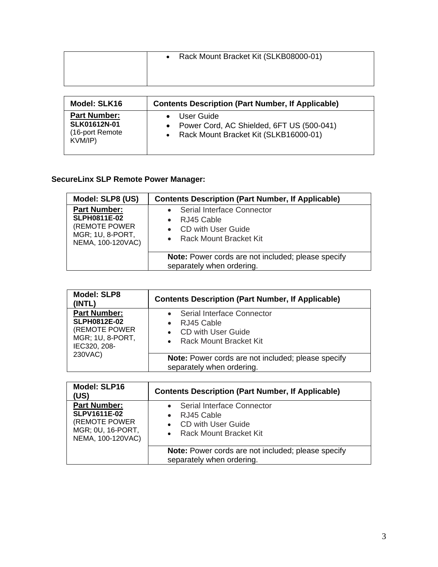| • Rack Mount Bracket Kit (SLKB08000-01) |
|-----------------------------------------|
|                                         |
|                                         |

| Model: SLK16        | <b>Contents Description (Part Number, If Applicable)</b> |
|---------------------|----------------------------------------------------------|
| <b>Part Number:</b> | User Guide                                               |
| <b>SLK01612N-01</b> | Power Cord, AC Shielded, 6FT US (500-041)                |
| (16-port Remote)    | Rack Mount Bracket Kit (SLKB16000-01)                    |
| KVM/IP)             | $\bullet$                                                |

# **SecureLinx SLP Remote Power Manager:**

| Model: SLP8 (US)                                                                                     | <b>Contents Description (Part Number, If Applicable)</b>                                   |
|------------------------------------------------------------------------------------------------------|--------------------------------------------------------------------------------------------|
| <b>Part Number:</b><br><b>SLPH0811E-02</b><br>(REMOTE POWER<br>MGR; 1U, 8-PORT,<br>NEMA, 100-120VAC) | Serial Interface Connector<br>RJ45 Cable<br>CD with User Guide<br>• Rack Mount Bracket Kit |
|                                                                                                      | Note: Power cords are not included; please specify<br>separately when ordering.            |

| <b>Model: SLP8</b><br>(INTL)                                                                                      | <b>Contents Description (Part Number, If Applicable)</b>                                          |
|-------------------------------------------------------------------------------------------------------------------|---------------------------------------------------------------------------------------------------|
| <b>Part Number:</b><br><b>SLPH0812E-02</b><br>(REMOTE POWER<br><b>MGR; 1U, 8-PORT,</b><br>IEC320, 208-<br>230VAC) | Serial Interface Connector<br>RJ45 Cable<br><b>CD with User Guide</b><br>• Rack Mount Bracket Kit |
|                                                                                                                   | Note: Power cords are not included; please specify<br>separately when ordering.                   |

| <b>Model: SLP16</b><br>(US)                                                                           | <b>Contents Description (Part Number, If Applicable)</b>                                   |
|-------------------------------------------------------------------------------------------------------|--------------------------------------------------------------------------------------------|
| <b>Part Number:</b><br><b>SLPV1611E-02</b><br>(REMOTE POWER<br>MGR; 0U, 16-PORT,<br>NEMA, 100-120VAC) | Serial Interface Connector<br>RJ45 Cable<br>CD with User Guide<br>• Rack Mount Bracket Kit |
|                                                                                                       | Note: Power cords are not included; please specify<br>separately when ordering.            |